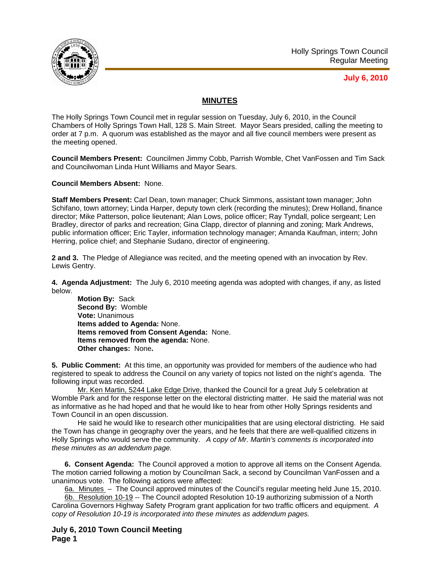

## **July 6, 2010**

## **MINUTES**

The Holly Springs Town Council met in regular session on Tuesday, July 6, 2010, in the Council Chambers of Holly Springs Town Hall, 128 S. Main Street. Mayor Sears presided, calling the meeting to order at 7 p.m. A quorum was established as the mayor and all five council members were present as the meeting opened.

**Council Members Present:** Councilmen Jimmy Cobb, Parrish Womble, Chet VanFossen and Tim Sack and Councilwoman Linda Hunt Williams and Mayor Sears.

**Council Members Absent:** None.

**Staff Members Present:** Carl Dean, town manager; Chuck Simmons, assistant town manager; John Schifano, town attorney; Linda Harper, deputy town clerk (recording the minutes); Drew Holland, finance director; Mike Patterson, police lieutenant; Alan Lows, police officer; Ray Tyndall, police sergeant; Len Bradley, director of parks and recreation; Gina Clapp, director of planning and zoning; Mark Andrews, public information officer; Eric Tayler, information technology manager; Amanda Kaufman, intern; John Herring, police chief; and Stephanie Sudano, director of engineering.

**2 and 3.** The Pledge of Allegiance was recited, and the meeting opened with an invocation by Rev. Lewis Gentry.

**4. Agenda Adjustment:** The July 6, 2010 meeting agenda was adopted with changes, if any, as listed below.

**Motion By:** Sack **Second By:** Womble **Vote:** Unanimous **Items added to Agenda:** None. **Items removed from Consent Agenda:** None. **Items removed from the agenda:** None. **Other changes:** None**.** 

**5. Public Comment:** At this time, an opportunity was provided for members of the audience who had registered to speak to address the Council on any variety of topics not listed on the night's agenda. The following input was recorded.

Mr. Ken Martin, 5244 Lake Edge Drive, thanked the Council for a great July 5 celebration at Womble Park and for the response letter on the electoral districting matter. He said the material was not as informative as he had hoped and that he would like to hear from other Holly Springs residents and Town Council in an open discussion.

He said he would like to research other municipalities that are using electoral districting. He said the Town has change in geography over the years, and he feels that there are well-qualified citizens in Holly Springs who would serve the community. *A* c*opy of Mr. Martin's comments is incorporated into these minutes as an addendum page.*

**6. Consent Agenda:** The Council approved a motion to approve all items on the Consent Agenda. The motion carried following a motion by Councilman Sack, a second by Councilman VanFossen and a unanimous vote. The following actions were affected:

6a. Minutes – The Council approved minutes of the Council's regular meeting held June 15, 2010.

6b. Resolution 10-19 -- The Council adopted Resolution 10-19 authorizing submission of a North Carolina Governors Highway Safety Program grant application for two traffic officers and equipment.*A*  c*opy of Resolution 10-19 is incorporated into these minutes as addendum pages.*

**July 6, 2010 Town Council Meeting Page 1**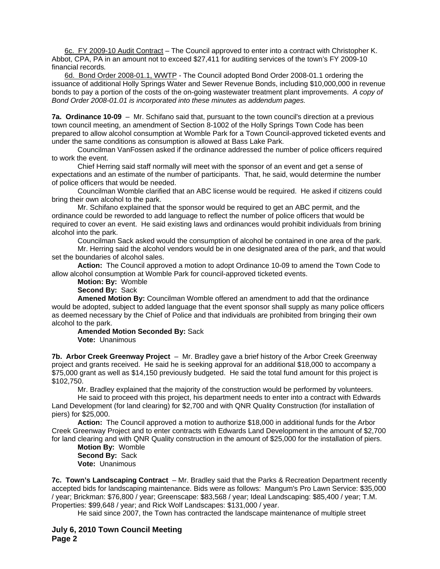6c. FY 2009-10 Audit Contract – The Council approved to enter into a contract with Christopher K. Abbot, CPA, PA in an amount not to exceed \$27,411 for auditing services of the town's FY 2009-10 financial records*.*

6d. Bond Order 2008-01.1, WWTP - The Council adopted Bond Order 2008-01.1 ordering the issuance of additional Holly Springs Water and Sewer Revenue Bonds, including \$10,000,000 in revenue bonds to pay a portion of the costs of the on-going wastewater treatment plant improvements.*A copy of Bond Order 2008-01.01 is incorporated into these minutes as addendum pages.*

**7a. Ordinance 10-09** – Mr. Schifano said that, pursuant to the town council's direction at a previous town council meeting, an amendment of Section 8-1002 of the Holly Springs Town Code has been prepared to allow alcohol consumption at Womble Park for a Town Council-approved ticketed events and under the same conditions as consumption is allowed at Bass Lake Park.

 Councilman VanFossen asked if the ordinance addressed the number of police officers required to work the event.

Chief Herring said staff normally will meet with the sponsor of an event and get a sense of expectations and an estimate of the number of participants. That, he said, would determine the number of police officers that would be needed.

Councilman Womble clarified that an ABC license would be required. He asked if citizens could bring their own alcohol to the park.

Mr. Schifano explained that the sponsor would be required to get an ABC permit, and the ordinance could be reworded to add language to reflect the number of police officers that would be required to cover an event. He said existing laws and ordinances would prohibit individuals from brining alcohol into the park.

Councilman Sack asked would the consumption of alcohol be contained in one area of the park.

Mr. Herring said the alcohol vendors would be in one designated area of the park, and that would set the boundaries of alcohol sales.

**Action:** The Council approved a motion to adopt Ordinance 10-09 to amend the Town Code to allow alcohol consumption at Womble Park for council-approved ticketed events.

**Motion: By:** Womble

**Second By:** Sack

**Amened Motion By:** Councilman Womble offered an amendment to add that the ordinance would be adopted, subject to added language that the event sponsor shall supply as many police officers as deemed necessary by the Chief of Police and that individuals are prohibited from bringing their own alcohol to the park.

## **Amended Motion Seconded By:** Sack

**Vote:** Unanimous

**7b. Arbor Creek Greenway Project** – Mr. Bradley gave a brief history of the Arbor Creek Greenway project and grants received. He said he is seeking approval for an additional \$18,000 to accompany a \$75,000 grant as well as \$14,150 previously budgeted. He said the total fund amount for this project is \$102,750.

Mr. Bradley explained that the majority of the construction would be performed by volunteers.

He said to proceed with this project, his department needs to enter into a contract with Edwards Land Development (for land clearing) for \$2,700 and with QNR Quality Construction (for installation of piers) for \$25,000.

**Action:** The Council approved a motion to authorize \$18,000 in additional funds for the Arbor Creek Greenway Project and to enter contracts with Edwards Land Development in the amount of \$2,700 for land clearing and with QNR Quality construction in the amount of \$25,000 for the installation of piers.

**Motion By:** Womble **Second By:** Sack **Vote:** Unanimous

**7c. Town's Landscaping Contract** – Mr. Bradley said that the Parks & Recreation Department recently accepted bids for landscaping maintenance. Bids were as follows: Mangum's Pro Lawn Service: \$35,000 / year; Brickman: \$76,800 / year; Greenscape: \$83,568 / year; Ideal Landscaping: \$85,400 / year; T.M. Properties: \$99,648 / year; and Rick Wolf Landscapes: \$131,000 / year.

He said since 2007, the Town has contracted the landscape maintenance of multiple street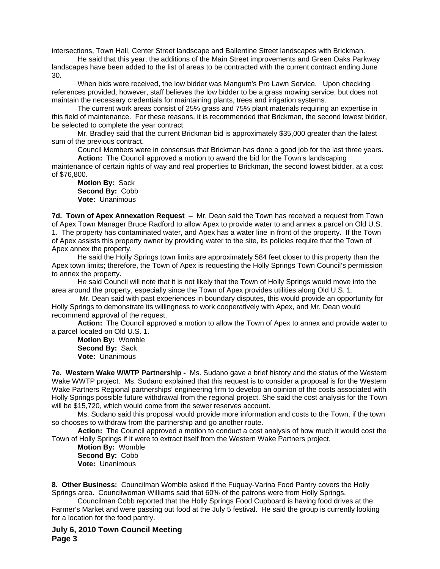intersections, Town Hall, Center Street landscape and Ballentine Street landscapes with Brickman.

He said that this year, the additions of the Main Street improvements and Green Oaks Parkway landscapes have been added to the list of areas to be contracted with the current contract ending June 30.

When bids were received, the low bidder was Mangum's Pro Lawn Service. Upon checking references provided, however, staff believes the low bidder to be a grass mowing service, but does not maintain the necessary credentials for maintaining plants, trees and irrigation systems.

The current work areas consist of 25% grass and 75% plant materials requiring an expertise in this field of maintenance. For these reasons, it is recommended that Brickman, the second lowest bidder, be selected to complete the year contract.

Mr. Bradley said that the current Brickman bid is approximately \$35,000 greater than the latest sum of the previous contract.

Council Members were in consensus that Brickman has done a good job for the last three years.

**Action:** The Council approved a motion to award the bid for the Town's landscaping maintenance of certain rights of way and real properties to Brickman, the second lowest bidder, at a cost

of \$76,800. **Motion By:** Sack

**Second By:** Cobb **Vote:** Unanimous

**7d. Town of Apex Annexation Request** – Mr. Dean said the Town has received a request from Town of Apex Town Manager Bruce Radford to allow Apex to provide water to and annex a parcel on Old U.S. 1. The property has contaminated water, and Apex has a water line in front of the property. If the Town of Apex assists this property owner by providing water to the site, its policies require that the Town of Apex annex the property.

He said the Holly Springs town limits are approximately 584 feet closer to this property than the Apex town limits; therefore, the Town of Apex is requesting the Holly Springs Town Council's permission to annex the property.

He said Council will note that it is not likely that the Town of Holly Springs would move into the area around the property, especially since the Town of Apex provides utilities along Old U.S. 1.

 Mr. Dean said with past experiences in boundary disputes, this would provide an opportunity for Holly Springs to demonstrate its willingness to work cooperatively with Apex, and Mr. Dean would recommend approval of the request.

**Action:** The Council approved a motion to allow the Town of Apex to annex and provide water to a parcel located on Old U.S. 1.

**Motion By:** Womble **Second By:** Sack **Vote:** Unanimous

**7e. Western Wake WWTP Partnership -** Ms. Sudano gave a brief history and the status of the Western Wake WWTP project. Ms. Sudano explained that this request is to consider a proposal is for the Western Wake Partners Regional partnerships' engineering firm to develop an opinion of the costs associated with Holly Springs possible future withdrawal from the regional project. She said the cost analysis for the Town will be \$15,720, which would come from the sewer reserves account.

Ms. Sudano said this proposal would provide more information and costs to the Town, if the town so chooses to withdraw from the partnership and go another route.

**Action:** The Council approved a motion to conduct a cost analysis of how much it would cost the Town of Holly Springs if it were to extract itself from the Western Wake Partners project.

**Motion By:** Womble **Second By:** Cobb **Vote:** Unanimous

**8. Other Business:** Councilman Womble asked if the Fuquay-Varina Food Pantry covers the Holly Springs area. Councilwoman Williams said that 60% of the patrons were from Holly Springs.

Councilman Cobb reported that the Holly Springs Food Cupboard is having food drives at the Farmer's Market and were passing out food at the July 5 festival. He said the group is currently looking for a location for the food pantry.

**July 6, 2010 Town Council Meeting Page 3**